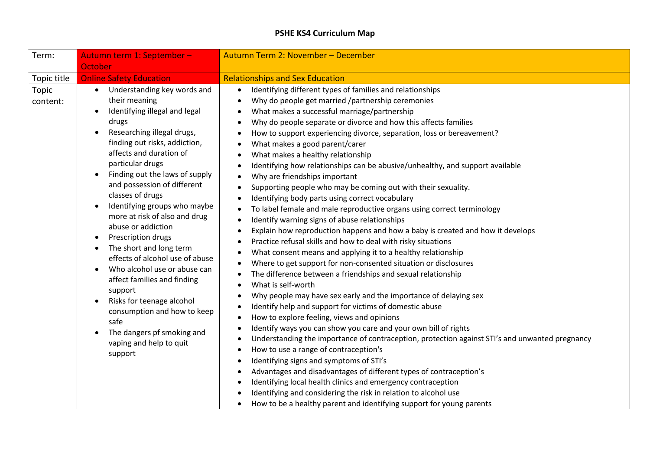## **PSHE KS4 Curriculum Map**

| Term:             | Autumn term 1: September -                                                                                                                                                                                                                                                                                                                                                                                                                                                                                                                                                                                                                                                                                                                                                        | Autumn Term 2: November - December                                                                                                                                                                                                                                                                                                                                                                                                                                                                                                                                                                                                                                                                                                                                                                                                                                                                                                                                                                                                                                                                                                                                                                                                                                                                                                                                                                                                                                                                                                                                                                                                                                                                                                                                                                                                                                              |
|-------------------|-----------------------------------------------------------------------------------------------------------------------------------------------------------------------------------------------------------------------------------------------------------------------------------------------------------------------------------------------------------------------------------------------------------------------------------------------------------------------------------------------------------------------------------------------------------------------------------------------------------------------------------------------------------------------------------------------------------------------------------------------------------------------------------|---------------------------------------------------------------------------------------------------------------------------------------------------------------------------------------------------------------------------------------------------------------------------------------------------------------------------------------------------------------------------------------------------------------------------------------------------------------------------------------------------------------------------------------------------------------------------------------------------------------------------------------------------------------------------------------------------------------------------------------------------------------------------------------------------------------------------------------------------------------------------------------------------------------------------------------------------------------------------------------------------------------------------------------------------------------------------------------------------------------------------------------------------------------------------------------------------------------------------------------------------------------------------------------------------------------------------------------------------------------------------------------------------------------------------------------------------------------------------------------------------------------------------------------------------------------------------------------------------------------------------------------------------------------------------------------------------------------------------------------------------------------------------------------------------------------------------------------------------------------------------------|
|                   | October                                                                                                                                                                                                                                                                                                                                                                                                                                                                                                                                                                                                                                                                                                                                                                           |                                                                                                                                                                                                                                                                                                                                                                                                                                                                                                                                                                                                                                                                                                                                                                                                                                                                                                                                                                                                                                                                                                                                                                                                                                                                                                                                                                                                                                                                                                                                                                                                                                                                                                                                                                                                                                                                                 |
| Topic title       | <b>Online Safety Education</b>                                                                                                                                                                                                                                                                                                                                                                                                                                                                                                                                                                                                                                                                                                                                                    | <b>Relationships and Sex Education</b>                                                                                                                                                                                                                                                                                                                                                                                                                                                                                                                                                                                                                                                                                                                                                                                                                                                                                                                                                                                                                                                                                                                                                                                                                                                                                                                                                                                                                                                                                                                                                                                                                                                                                                                                                                                                                                          |
| Topic<br>content: | Understanding key words and<br>$\bullet$<br>their meaning<br>Identifying illegal and legal<br>drugs<br>Researching illegal drugs,<br>$\bullet$<br>finding out risks, addiction,<br>affects and duration of<br>particular drugs<br>Finding out the laws of supply<br>$\bullet$<br>and possession of different<br>classes of drugs<br>Identifying groups who maybe<br>$\bullet$<br>more at risk of also and drug<br>abuse or addiction<br>Prescription drugs<br>$\bullet$<br>The short and long term<br>$\bullet$<br>effects of alcohol use of abuse<br>Who alcohol use or abuse can<br>affect families and finding<br>support<br>Risks for teenage alcohol<br>$\bullet$<br>consumption and how to keep<br>safe<br>The dangers pf smoking and<br>vaping and help to quit<br>support | Identifying different types of families and relationships<br>Why do people get married /partnership ceremonies<br>$\bullet$<br>What makes a successful marriage/partnership<br>Why do people separate or divorce and how this affects families<br>How to support experiencing divorce, separation, loss or bereavement?<br>What makes a good parent/carer<br>What makes a healthy relationship<br>Identifying how relationships can be abusive/unhealthy, and support available<br>Why are friendships important<br>Supporting people who may be coming out with their sexuality.<br>Identifying body parts using correct vocabulary<br>To label female and male reproductive organs using correct terminology<br>Identify warning signs of abuse relationships<br>Explain how reproduction happens and how a baby is created and how it develops<br>Practice refusal skills and how to deal with risky situations<br>What consent means and applying it to a healthy relationship<br>Where to get support for non-consented situation or disclosures<br>The difference between a friendships and sexual relationship<br>What is self-worth<br>Why people may have sex early and the importance of delaying sex<br>Identify help and support for victims of domestic abuse<br>How to explore feeling, views and opinions<br>$\bullet$<br>Identify ways you can show you care and your own bill of rights<br>Understanding the importance of contraception, protection against STI's and unwanted pregnancy<br>How to use a range of contraception's<br>Identifying signs and symptoms of STI's<br>Advantages and disadvantages of different types of contraception's<br>Identifying local health clinics and emergency contraception<br>Identifying and considering the risk in relation to alcohol use<br>How to be a healthy parent and identifying support for young parents |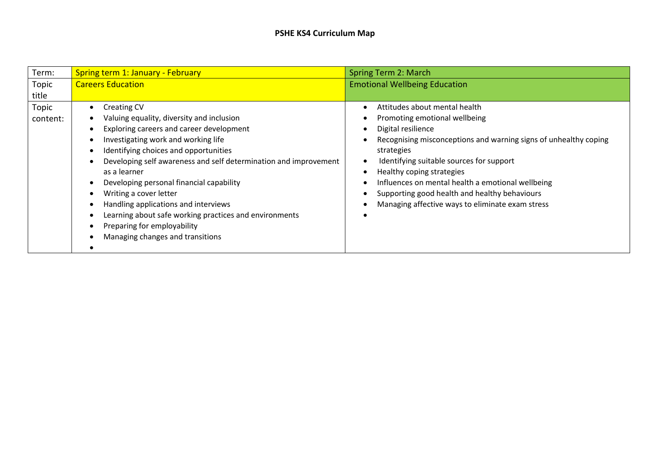## **PSHE KS4 Curriculum Map**

| Term:    | <b>Spring term 1: January - February</b>                         | Spring Term 2: March                                             |
|----------|------------------------------------------------------------------|------------------------------------------------------------------|
| Topic    | <b>Careers Education</b>                                         | <b>Emotional Wellbeing Education</b>                             |
| title    |                                                                  |                                                                  |
| Topic    | <b>Creating CV</b>                                               | Attitudes about mental health                                    |
| content: | Valuing equality, diversity and inclusion                        | Promoting emotional wellbeing                                    |
|          | Exploring careers and career development                         | Digital resilience                                               |
|          | Investigating work and working life                              | Recognising misconceptions and warning signs of unhealthy coping |
|          | Identifying choices and opportunities                            | strategies                                                       |
|          | Developing self awareness and self determination and improvement | Identifying suitable sources for support                         |
|          | as a learner                                                     | Healthy coping strategies                                        |
|          | Developing personal financial capability                         | Influences on mental health a emotional wellbeing                |
|          | Writing a cover letter                                           | Supporting good health and healthy behaviours                    |
|          | Handling applications and interviews                             | Managing affective ways to eliminate exam stress                 |
|          | Learning about safe working practices and environments           |                                                                  |
|          | Preparing for employability                                      |                                                                  |
|          | Managing changes and transitions                                 |                                                                  |
|          |                                                                  |                                                                  |